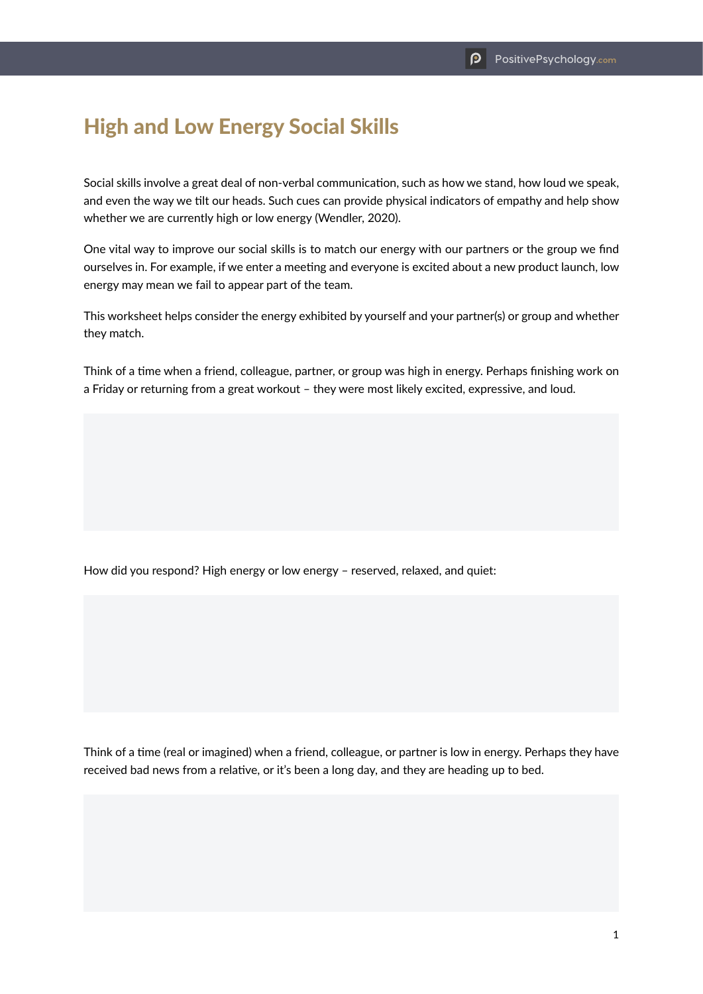## High and Low Energy Social Skills

Social skills involve a great deal of non-verbal communication, such as how we stand, how loud we speak, and even the way we tilt our heads. Such cues can provide physical indicators of empathy and help show whether we are currently high or low energy (Wendler, 2020).

One vital way to improve our social skills is to match our energy with our partners or the group we find ourselves in. For example, if we enter a meeting and everyone is excited about a new product launch, low energy may mean we fail to appear part of the team.

This worksheet helps consider the energy exhibited by yourself and your partner(s) or group and whether they match.

Think of a time when a friend, colleague, partner, or group was high in energy. Perhaps finishing work on a Friday or returning from a great workout – they were most likely excited, expressive, and loud.

How did you respond? High energy or low energy – reserved, relaxed, and quiet:

Think of a time (real or imagined) when a friend, colleague, or partner is low in energy. Perhaps they have received bad news from a relative, or it's been a long day, and they are heading up to bed.